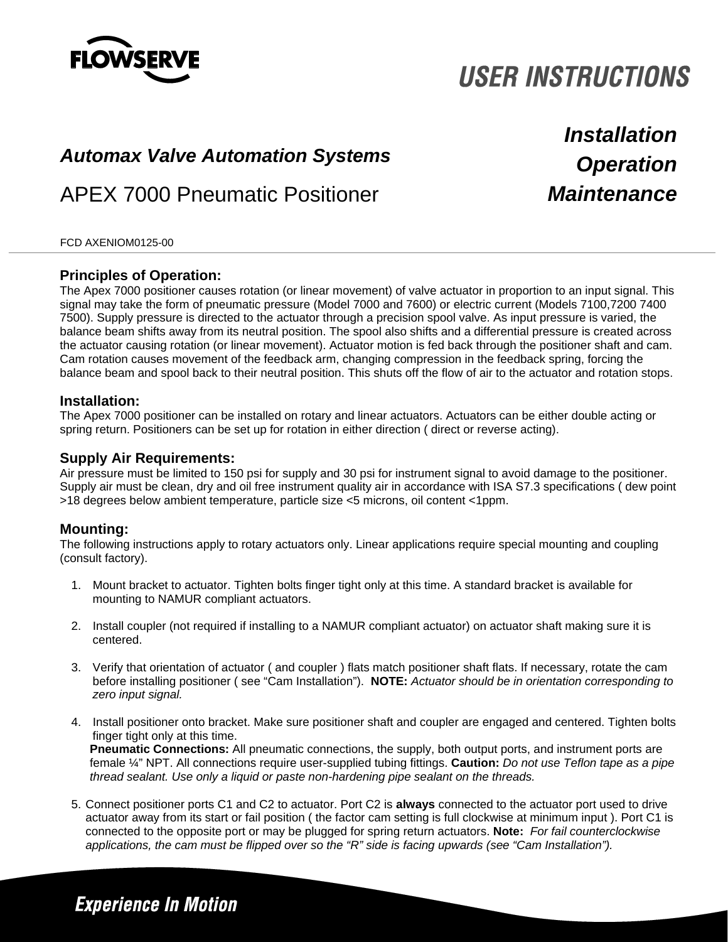

# **USER INSTRUCTIONS**

# *Operation Automax Valve Automation Systems*

### APEX 7000 Pneumatic Positioner

*Installation Maintenance*

#### FCD AXENIOM0125-00

### **Principles of Operation:**

The Apex 7000 positioner causes rotation (or linear movement) of valve actuator in proportion to an input signal. This signal may take the form of pneumatic pressure (Model 7000 and 7600) or electric current (Models 7100,7200 7400 7500). Supply pressure is directed to the actuator through a precision spool valve. As input pressure is varied, the balance beam shifts away from its neutral position. The spool also shifts and a differential pressure is created across the actuator causing rotation (or linear movement). Actuator motion is fed back through the positioner shaft and cam. Cam rotation causes movement of the feedback arm, changing compression in the feedback spring, forcing the balance beam and spool back to their neutral position. This shuts off the flow of air to the actuator and rotation stops.

### **Installation:**

The Apex 7000 positioner can be installed on rotary and linear actuators. Actuators can be either double acting or spring return. Positioners can be set up for rotation in either direction ( direct or reverse acting).

### **Supply Air Requirements:**

Air pressure must be limited to 150 psi for supply and 30 psi for instrument signal to avoid damage to the positioner. Supply air must be clean, dry and oil free instrument quality air in accordance with ISA S7.3 specifications ( dew point >18 degrees below ambient temperature, particle size <5 microns, oil content <1ppm.

### **Mounting:**

The following instructions apply to rotary actuators only. Linear applications require special mounting and coupling (consult factory).

- 1. Mount bracket to actuator. Tighten bolts finger tight only at this time. A standard bracket is available for mounting to NAMUR compliant actuators.
- 2. Install coupler (not required if installing to a NAMUR compliant actuator) on actuator shaft making sure it is centered.
- 3. Verify that orientation of actuator ( and coupler ) flats match positioner shaft flats. If necessary, rotate the cam before installing positioner ( see "Cam Installation"). **NOTE:** *Actuator should be in orientation corresponding to zero input signal.*
- 4. Install positioner onto bracket. Make sure positioner shaft and coupler are engaged and centered. Tighten bolts finger tight only at this time.

**Pneumatic Connections:** All pneumatic connections, the supply, both output ports, and instrument ports are female ¼" NPT. All connections require user-supplied tubing fittings. **Caution:** *Do not use Teflon tape as a pipe thread sealant. Use only a liquid or paste non-hardening pipe sealant on the threads.* 

 5. Connect positioner ports C1 and C2 to actuator. Port C2 is **always** connected to the actuator port used to drive actuator away from its start or fail position ( the factor cam setting is full clockwise at minimum input ). Port C1 is connected to the opposite port or may be plugged for spring return actuators. **Note:** *For fail counterclockwise applications, the cam must be flipped over so the "R" side is facing upwards (see "Cam Installation").*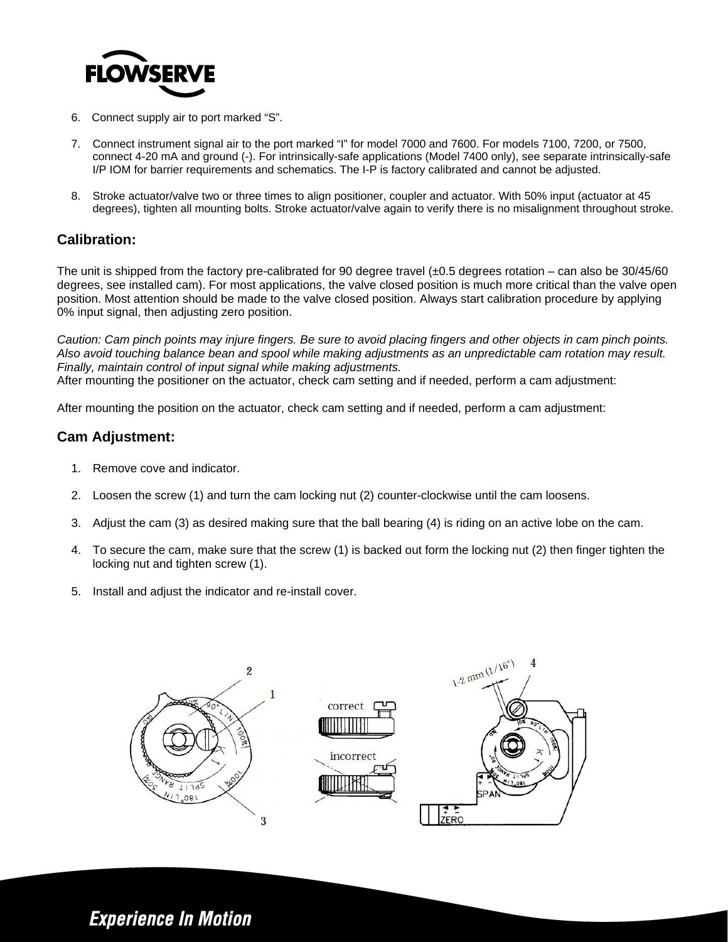

- 6. Connect supply air to port marked "S".
- 7. Connect instrument signal air to the port marked "I" for model 7000 and 7600. For models 7100, 7200, or 7500, connect 4-20 mA and ground (-). For intrinsically-safe applications (Model 7400 only), see separate intrinsically-safe I/P IOM for barrier requirements and schematics. The I-P is factory calibrated and cannot be adjusted.
- 8. Stroke actuator/valve two or three times to align positioner, coupler and actuator. With 50% input (actuator at 45 degrees), tighten all mounting bolts. Stroke actuator/valve again to verify there is no misalignment throughout stroke.

### **Calibration:**

The unit is shipped from the factory pre-calibrated for 90 degree travel  $(\pm 0.5$  degrees rotation – can also be 30/45/60 degrees, see installed cam). For most applications, the valve closed position is much more critical than the valve open position. Most attention should be made to the valve closed position. Always start calibration procedure by applying 0% input signal, then adjusting zero position.

*Caution: Cam pinch points may injure fingers. Be sure to avoid placing fingers and other objects in cam pinch points. Also avoid touching balance bean and spool while making adjustments as an unpredictable cam rotation may result. Finally, maintain control of input signal while making adjustments.*  After mounting the positioner on the actuator, check cam setting and if needed, perform a cam adjustment:

After mounting the position on the actuator, check cam setting and if needed, perform a cam adjustment:

### **Cam Adjustment:**

- 1. Remove cove and indicator.
- 2. Loosen the screw (1) and turn the cam locking nut (2) counter-clockwise until the cam loosens.
- 3. Adjust the cam (3) as desired making sure that the ball bearing (4) is riding on an active lobe on the cam.
- 4. To secure the cam, make sure that the screw (1) is backed out form the locking nut (2) then finger tighten the locking nut and tighten screw (1).
- 5. Install and adjust the indicator and re-install cover.



### **Experience In Motion**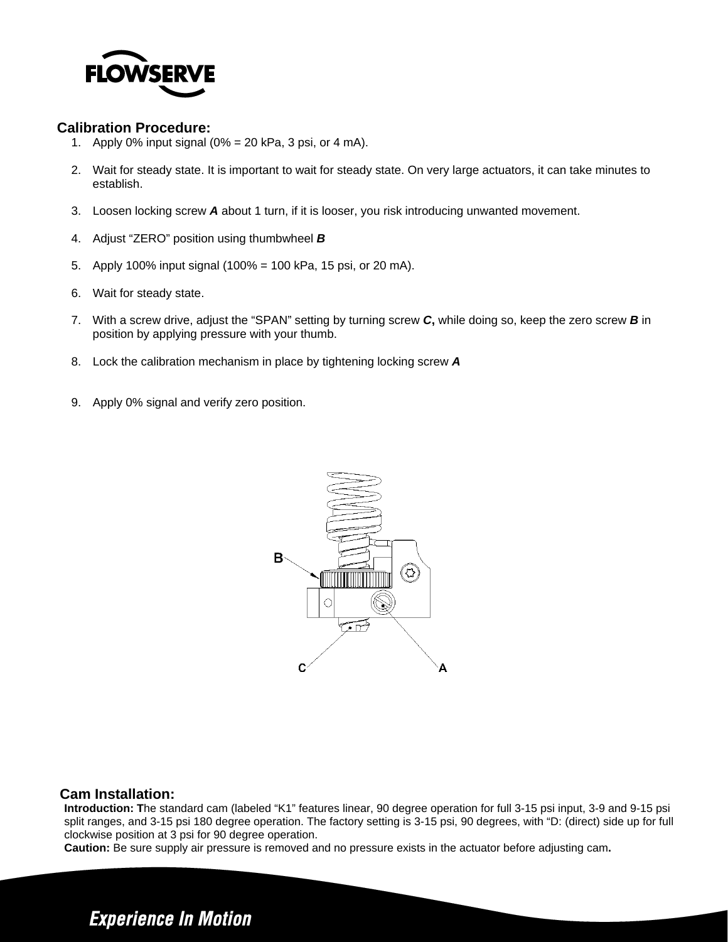

### **Calibration Procedure:**

- 1. Apply 0% input signal (0% = 20 kPa, 3 psi, or 4 mA).
- 2. Wait for steady state. It is important to wait for steady state. On very large actuators, it can take minutes to establish.
- 3. Loosen locking screw *A* about 1 turn, if it is looser, you risk introducing unwanted movement.
- 4. Adjust "ZERO" position using thumbwheel *B*
- 5. Apply 100% input signal (100% = 100 kPa, 15 psi, or 20 mA).
- 6. Wait for steady state.
- 7. With a screw drive, adjust the "SPAN" setting by turning screw *C***,** while doing so, keep the zero screw *B* in position by applying pressure with your thumb.
- 8. Lock the calibration mechanism in place by tightening locking screw *A*
- 9. Apply 0% signal and verify zero position.



### **Cam Installation:**

**Introduction: T**he standard cam (labeled "K1" features linear, 90 degree operation for full 3-15 psi input, 3-9 and 9-15 psi split ranges, and 3-15 psi 180 degree operation. The factory setting is 3-15 psi, 90 degrees, with "D: (direct) side up for full clockwise position at 3 psi for 90 degree operation.

**Caution:** Be sure supply air pressure is removed and no pressure exists in the actuator before adjusting cam**.**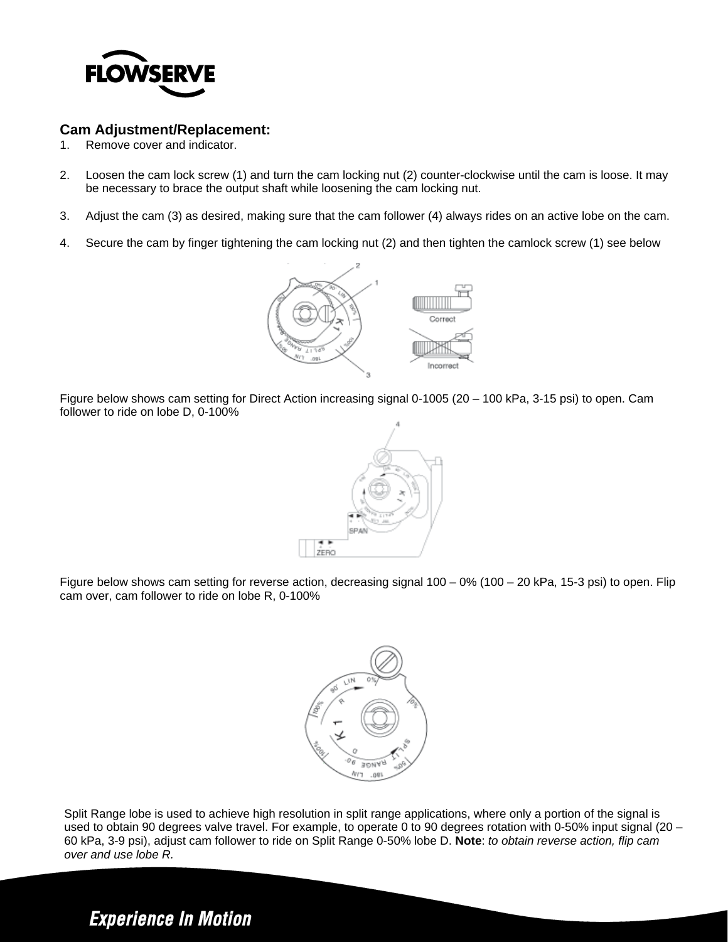

### **Cam Adjustment/Replacement:**

- 1. Remove cover and indicator.
- 2. Loosen the cam lock screw (1) and turn the cam locking nut (2) counter-clockwise until the cam is loose. It may be necessary to brace the output shaft while loosening the cam locking nut.
- 3. Adjust the cam (3) as desired, making sure that the cam follower (4) always rides on an active lobe on the cam.
- 4. Secure the cam by finger tightening the cam locking nut (2) and then tighten the camlock screw (1) see below



Figure below shows cam setting for Direct Action increasing signal 0-1005 (20 – 100 kPa, 3-15 psi) to open. Cam follower to ride on lobe D, 0-100%



Figure below shows cam setting for reverse action, decreasing signal 100 – 0% (100 – 20 kPa, 15-3 psi) to open. Flip cam over, cam follower to ride on lobe R, 0-100%



Split Range lobe is used to achieve high resolution in split range applications, where only a portion of the signal is used to obtain 90 degrees valve travel. For example, to operate 0 to 90 degrees rotation with 0-50% input signal (20 – 60 kPa, 3-9 psi), adjust cam follower to ride on Split Range 0-50% lobe D. **Note**: *to obtain reverse action, flip cam over and use lobe R.*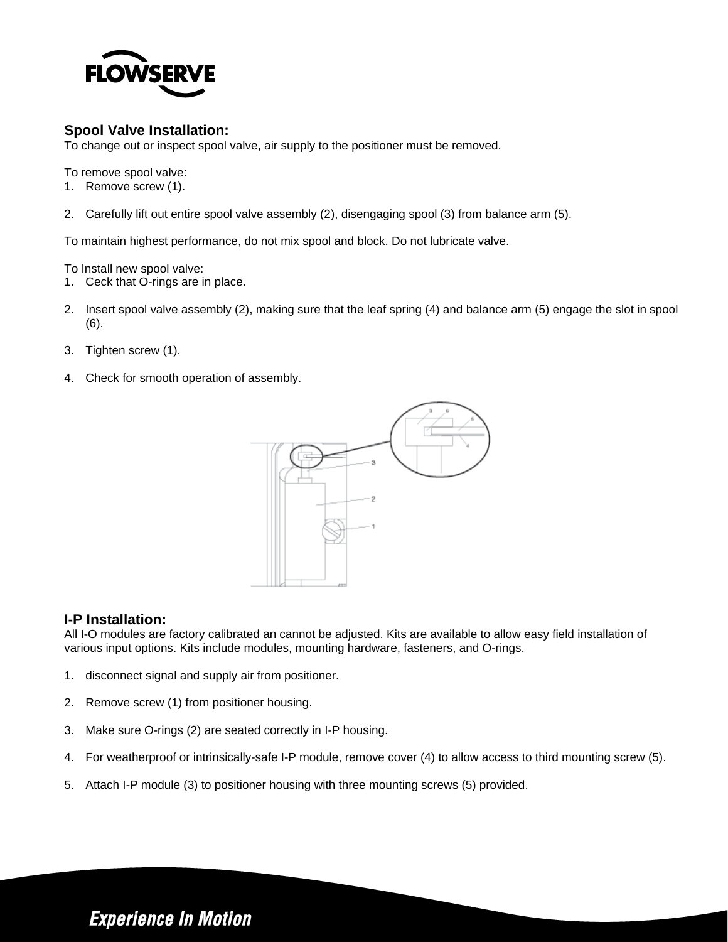

### **Spool Valve Installation:**

To change out or inspect spool valve, air supply to the positioner must be removed.

To remove spool valve:

- 1. Remove screw (1).
- 2. Carefully lift out entire spool valve assembly (2), disengaging spool (3) from balance arm (5).

To maintain highest performance, do not mix spool and block. Do not lubricate valve.

To Install new spool valve:

- 1. Ceck that O-rings are in place.
- 2. Insert spool valve assembly (2), making sure that the leaf spring (4) and balance arm (5) engage the slot in spool (6).
- 3. Tighten screw (1).
- 4. Check for smooth operation of assembly.



### **I-P Installation:**

All I-O modules are factory calibrated an cannot be adjusted. Kits are available to allow easy field installation of various input options. Kits include modules, mounting hardware, fasteners, and O-rings.

- 1. disconnect signal and supply air from positioner.
- 2. Remove screw (1) from positioner housing.
- 3. Make sure O-rings (2) are seated correctly in I-P housing.
- 4. For weatherproof or intrinsically-safe I-P module, remove cover (4) to allow access to third mounting screw (5).
- 5. Attach I-P module (3) to positioner housing with three mounting screws (5) provided.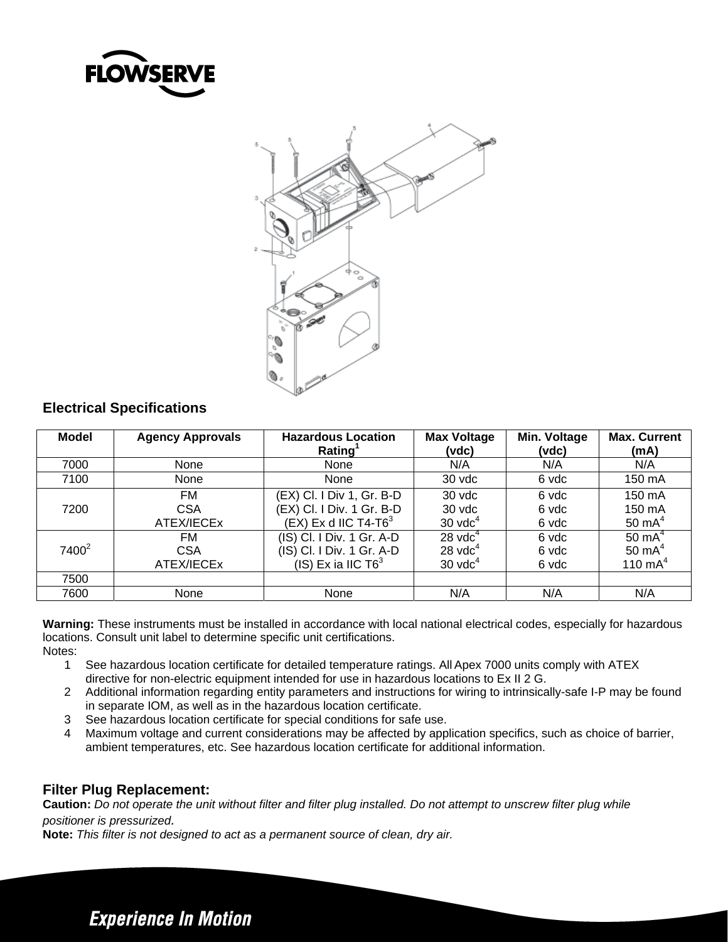



### **Electrical Specifications**

| <b>Model</b>      | <b>Agency Approvals</b>         | <b>Hazardous Location</b><br>Rating <sup>1</sup>                                           | <b>Max Voltage</b><br>(vdc)                        | Min. Voltage<br>(vdc)   | <b>Max. Current</b><br>(mA)                |
|-------------------|---------------------------------|--------------------------------------------------------------------------------------------|----------------------------------------------------|-------------------------|--------------------------------------------|
| 7000              | None                            | None                                                                                       | N/A                                                | N/A                     | N/A                                        |
| 7100              | None                            | None                                                                                       | 30 vdc                                             | 6 vdc                   | 150 mA                                     |
| 7200              | FM.<br><b>CSA</b><br>ATEX/IECEx | (EX) Cl. I Div 1, Gr. B-D<br>(EX) Cl. I Div. 1 Gr. B-D<br>(EX) Ex d IIC T4-T6 $^3$         | 30 vdc<br>30 vdc<br>$30$ vd $c4$                   | 6 vdc<br>6 vdc<br>6 vdc | 150 mA<br>150 mA<br>50 $mA4$               |
| 7400 <sup>2</sup> | FM<br><b>CSA</b><br>ATEX/IECEx  | (IS) Cl. I Div. 1 Gr. A-D<br>(IS) Cl. I Div. 1 Gr. A-D<br>$(IS)$ Ex ia IIC T6 <sup>3</sup> | $28 \text{ vdc}^4$<br>$28$ vd $c4$<br>$30$ vd $c4$ | 6 vdc<br>6 vdc<br>6 vdc | $50 \text{ mA}^4$<br>50 $mA4$<br>110 $mA4$ |
| 7500              |                                 |                                                                                            |                                                    |                         |                                            |
| 7600              | None                            | None                                                                                       | N/A                                                | N/A                     | N/A                                        |

**Warning:** These instruments must be installed in accordance with local national electrical codes, especially for hazardous locations. Consult unit label to determine specific unit certifications. Notes:

- 1 See hazardous location certificate for detailed temperature ratings. All Apex 7000 units comply with ATEX directive for non-electric equipment intended for use in hazardous locations to Ex II 2 G.
- 2 Additional information regarding entity parameters and instructions for wiring to intrinsically-safe I-P may be found in separate IOM, as well as in the hazardous location certificate.
- 3 See hazardous location certificate for special conditions for safe use.
- 4 Maximum voltage and current considerations may be affected by application specifics, such as choice of barrier, ambient temperatures, etc. See hazardous location certificate for additional information.

### **Filter Plug Replacement:**

**Caution:** *Do not operate the unit without filter and filter plug installed. Do not attempt to unscrew filter plug while positioner is pressurized.* 

**Note:** *This filter is not designed to act as a permanent source of clean, dry air.*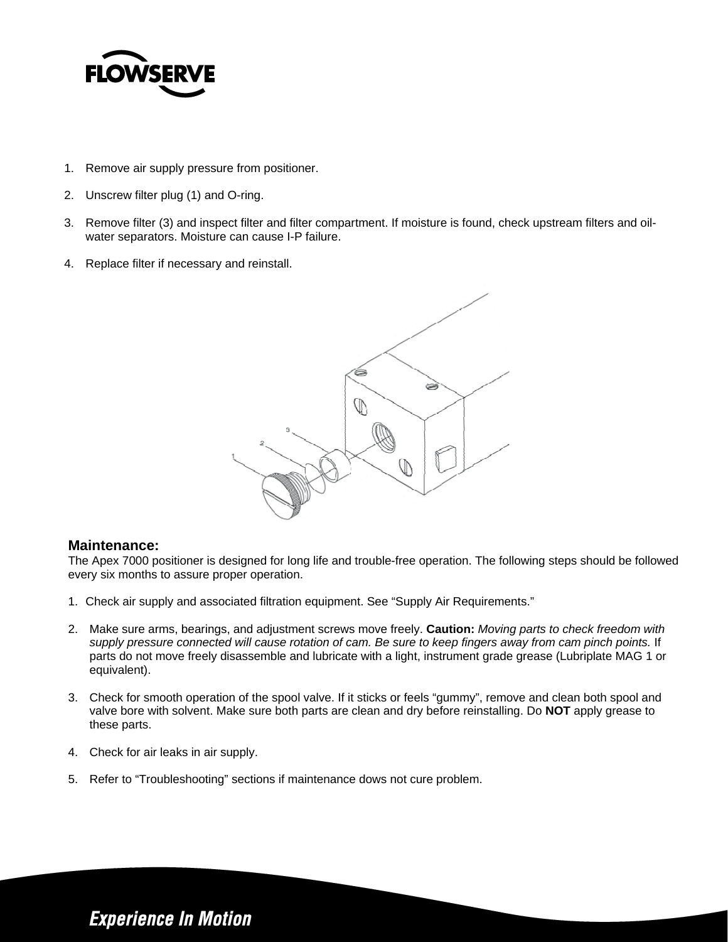

- 1. Remove air supply pressure from positioner.
- 2. Unscrew filter plug (1) and O-ring.
- 3. Remove filter (3) and inspect filter and filter compartment. If moisture is found, check upstream filters and oilwater separators. Moisture can cause I-P failure.
- 4. Replace filter if necessary and reinstall.



#### **Maintenance:**

The Apex 7000 positioner is designed for long life and trouble-free operation. The following steps should be followed every six months to assure proper operation.

- 1. Check air supply and associated filtration equipment. See "Supply Air Requirements."
- 2. Make sure arms, bearings, and adjustment screws move freely. **Caution:** *Moving parts to check freedom with supply pressure connected will cause rotation of cam. Be sure to keep fingers away from cam pinch points.* If parts do not move freely disassemble and lubricate with a light, instrument grade grease (Lubriplate MAG 1 or equivalent).
- 3. Check for smooth operation of the spool valve. If it sticks or feels "gummy", remove and clean both spool and valve bore with solvent. Make sure both parts are clean and dry before reinstalling. Do **NOT** apply grease to these parts.
- 4. Check for air leaks in air supply.
- 5. Refer to "Troubleshooting" sections if maintenance dows not cure problem.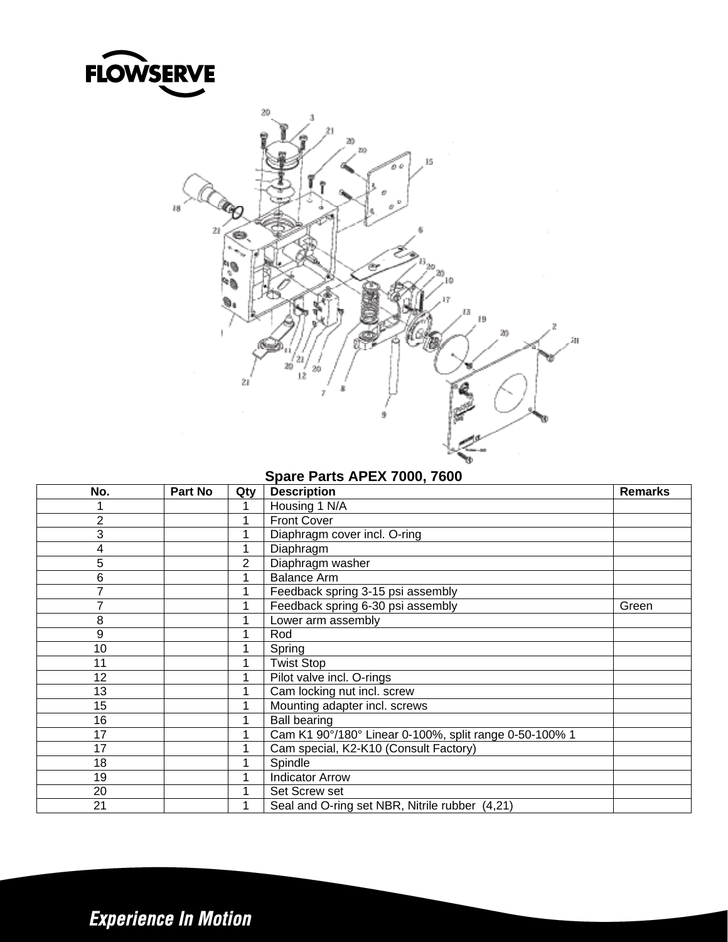



### **Spare Parts APEX 7000, 7600**

| No.            | Part No | Qty | <b>Description</b>                                     | <b>Remarks</b> |
|----------------|---------|-----|--------------------------------------------------------|----------------|
|                |         |     | Housing 1 N/A                                          |                |
| $\overline{2}$ |         |     | <b>Front Cover</b>                                     |                |
| 3              |         |     | Diaphragm cover incl. O-ring                           |                |
| 4              |         |     | Diaphragm                                              |                |
| 5              |         | 2   | Diaphragm washer                                       |                |
| 6              |         |     | <b>Balance Arm</b>                                     |                |
|                |         |     | Feedback spring 3-15 psi assembly                      |                |
|                |         |     | Feedback spring 6-30 psi assembly                      | Green          |
| 8              |         |     | Lower arm assembly                                     |                |
| 9              |         |     | Rod                                                    |                |
| 10             |         |     | Spring                                                 |                |
| 11             |         |     | <b>Twist Stop</b>                                      |                |
| 12             |         |     | Pilot valve incl. O-rings                              |                |
| 13             |         |     | Cam locking nut incl. screw                            |                |
| 15             |         |     | Mounting adapter incl. screws                          |                |
| 16             |         |     | <b>Ball bearing</b>                                    |                |
| 17             |         |     | Cam K1 90°/180° Linear 0-100%, split range 0-50-100% 1 |                |
| 17             |         |     | Cam special, K2-K10 (Consult Factory)                  |                |
| 18             |         |     | Spindle                                                |                |
| 19             |         |     | <b>Indicator Arrow</b>                                 |                |
| 20             |         |     | Set Screw set                                          |                |
| 21             |         |     | Seal and O-ring set NBR, Nitrile rubber (4,21)         |                |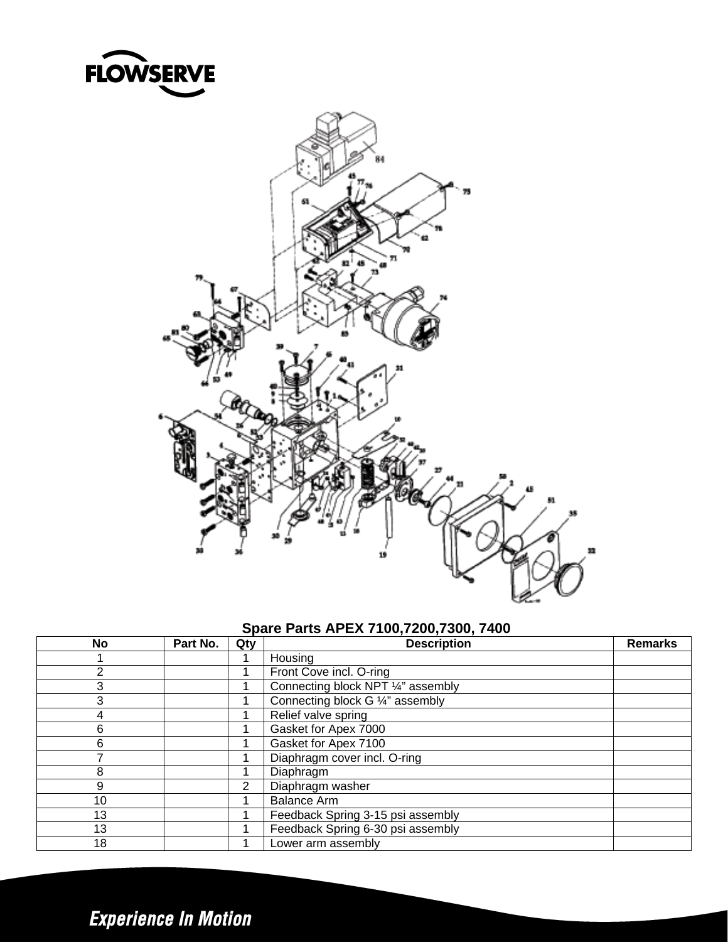



### **Spare Parts APEX 7100,7200,7300, 7400**

| No | Part No. | Qty | <b>Description</b>                 | <b>Remarks</b> |
|----|----------|-----|------------------------------------|----------------|
|    |          |     | Housing                            |                |
| າ  |          |     | Front Cove incl. O-ring            |                |
| 3  |          |     | Connecting block NPT 1/4" assembly |                |
| 3  |          |     | Connecting block G 1/4" assembly   |                |
| 4  |          |     | Relief valve spring                |                |
| 6  |          |     | Gasket for Apex 7000               |                |
| 6  |          |     | Gasket for Apex 7100               |                |
|    |          |     | Diaphragm cover incl. O-ring       |                |
| 8  |          |     | Diaphragm                          |                |
| 9  |          | 2   | Diaphragm washer                   |                |
| 10 |          |     | <b>Balance Arm</b>                 |                |
| 13 |          |     | Feedback Spring 3-15 psi assembly  |                |
| 13 |          |     | Feedback Spring 6-30 psi assembly  |                |
| 18 |          |     | Lower arm assembly                 |                |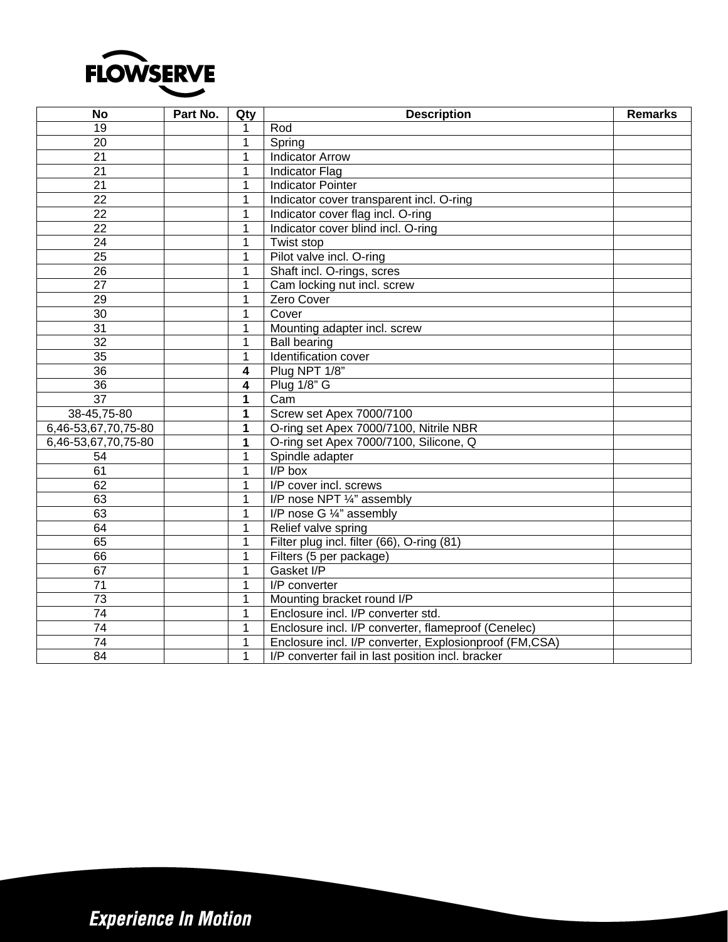

| <b>No</b>           | Part No. | Qty                     | <b>Description</b>                                     | <b>Remarks</b> |
|---------------------|----------|-------------------------|--------------------------------------------------------|----------------|
| 19                  |          | 1                       | Rod                                                    |                |
| 20                  |          | $\mathbf 1$             | Spring                                                 |                |
| $\overline{21}$     |          | 1                       | <b>Indicator Arrow</b>                                 |                |
| 21                  |          | $\mathbf{1}$            | <b>Indicator Flag</b>                                  |                |
| 21                  |          | 1                       | <b>Indicator Pointer</b>                               |                |
| 22                  |          | 1                       | Indicator cover transparent incl. O-ring               |                |
| $\overline{22}$     |          | 1                       | Indicator cover flag incl. O-ring                      |                |
| 22                  |          | 1                       | Indicator cover blind incl. O-ring                     |                |
| $\overline{24}$     |          | 1                       | Twist stop                                             |                |
| 25                  |          | 1                       | Pilot valve incl. O-ring                               |                |
| $\overline{26}$     |          | 1                       | Shaft incl. O-rings, scres                             |                |
| $\overline{27}$     |          | 1                       | Cam locking nut incl. screw                            |                |
| 29                  |          | 1                       | Zero Cover                                             |                |
| 30                  |          | 1                       | Cover                                                  |                |
| $\overline{31}$     |          | 1                       | Mounting adapter incl. screw                           |                |
| $\overline{32}$     |          | 1                       | <b>Ball bearing</b>                                    |                |
| 35                  |          | $\mathbf{1}$            | Identification cover                                   |                |
| 36                  |          | 4                       | Plug NPT 1/8"                                          |                |
| 36                  |          | $\overline{\mathbf{4}}$ | <b>Plug 1/8" G</b>                                     |                |
| $\overline{37}$     |          | 1                       | Cam                                                    |                |
| 38-45,75-80         |          | 1                       | Screw set Apex 7000/7100                               |                |
| 6,46-53,67,70,75-80 |          | 1                       | O-ring set Apex 7000/7100, Nitrile NBR                 |                |
| 6,46-53,67,70,75-80 |          | 1                       | O-ring set Apex 7000/7100, Silicone, Q                 |                |
| $\overline{54}$     |          | $\mathbf{1}$            | Spindle adapter                                        |                |
| 61                  |          | 1                       | $I/P$ box                                              |                |
| 62                  |          | 1                       | I/P cover incl. screws                                 |                |
| 63                  |          | 1                       | I/P nose NPT 1/4" assembly                             |                |
| 63                  |          | $\mathbf 1$             | I/P nose G 1/4" assembly                               |                |
| 64                  |          | 1                       | Relief valve spring                                    |                |
| 65                  |          | $\mathbf{1}$            | Filter plug incl. filter (66), O-ring (81)             |                |
| 66                  |          | $\mathbf{1}$            | Filters (5 per package)                                |                |
| 67                  |          | $\mathbf{1}$            | Gasket I/P                                             |                |
| 71                  |          | 1                       | I/P converter                                          |                |
| 73                  |          | 1                       | Mounting bracket round I/P                             |                |
| $\overline{74}$     |          | 1                       | Enclosure incl. I/P converter std.                     |                |
| $\overline{74}$     |          | 1                       | Enclosure incl. I/P converter, flameproof (Cenelec)    |                |
| $\overline{74}$     |          | 1                       | Enclosure incl. I/P converter, Explosionproof (FM,CSA) |                |
| 84                  |          | $\mathbf{1}$            | I/P converter fail in last position incl. bracker      |                |